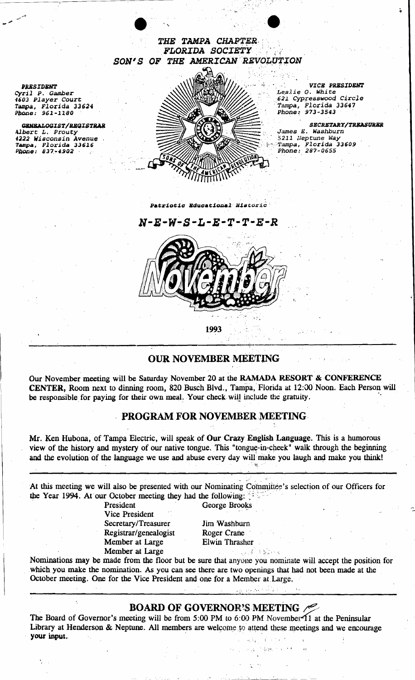THE TAMPA CHAPTER  $FLORIDA$  *SOCIETY* SON'S OF THE AMERICAN REVOLUTION

"

*Cyril P. Gamber<br>4603 Player Court* 

Tampa, Florida 33624<br>Phone: 961-1180



 $621$  Cypresswood Circle T~a, *Florida 33624 'Tampa, Florida 33647* 

 $\frac{1}{2}$   $\frac{1}{2}$   $\frac{1}{2}$   $\frac{1}{2}$   $\frac{1}{2}$   $\frac{1}{2}$   $\frac{1}{2}$   $\frac{1}{2}$   $\frac{1}{2}$   $\frac{1}{2}$   $\frac{1}{2}$   $\frac{1}{2}$   $\frac{1}{2}$   $\frac{1}{2}$   $\frac{1}{2}$   $\frac{1}{2}$   $\frac{1}{2}$   $\frac{1}{2}$   $\frac{1}{2}$   $\frac{1}{2}$   $\frac{1}{2}$   $\frac{1}{2}$ 

*James E. Washburn* 

Patriotic Educational Historic



1993

## OUR NOVEMBER· MEETING

Our November meeting will be Saturday November 20 at the RAMADA RESORT & CONFERENCE CENTER, Room next to dinning room, 820 Busch Blvd., Tampa, Florida at 12:00 Noon. Each Person will be responsible for paying for their own meal. Your check will include the gratuity.

# . PROGRAM FOR NOVEMBER MEETING·

Mr. Ken Hubona, of Tampa Electric, will speak of Our Crazy English Language. This is a humorous view of the history and mystery of our native tongue. This "tongue-in-cheek" walk through the beginning and the evolution of the language we use and abuse every day will make you laugh and make you think!

At this meeting we will also be presented with our Nominating Committee's selection of our Officers for the Year 1994. At our October meeting they had the following:

President George Brooks Vice President Secretary/Treasurer Jim Washburn Registrar/genealogist Roger Crane Member at Large Elwin Thrasher Member at Large  $\blacksquare$ 

October meeting. One for the Vice President and one for a Member at Large,

Nominations may be made from the floor but be sure that anyone you nominate will accept the position for which you make the nomination. As you can see there are two openings that had not been made at the

.'. ~'.. '.; :

.<br><u>. . . .</u>

, ,I~ ,> :..•.. ., ;\ •

BOARD OF GOVERNOR'S MEETING  $\wedge$ 

The Board of Governor's meeting will be from 5:00 PM to 6:00 PM November 11 at the Peninsular<br>Library at Henderson & Neptune. All members are welcome to attend these meetings and we encourage Member at Large Elwin Thrasher<br>
Mominations may be made from the floor but be sure that anyone you nominate will accept the position<br>
which you make the nomination. As you can see there are two openings that had not been m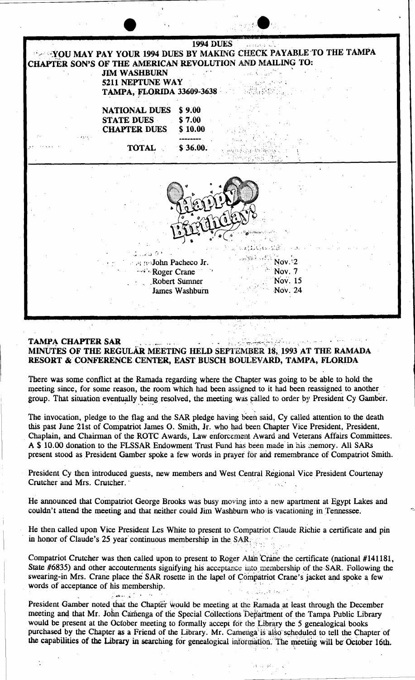| <b>JIM WASHBURN</b><br>5211 NEPTUNE WAY<br><b>TAMPA, FLORIDA 33609-3638</b> | <b>1994 DUES</b>                | <b>EXPOUMAY PAY YOUR 1994 DUES BY MAKING CHECK PAYABLE TO THE TAMPA</b><br>CHAPTER SON'S OF THE AMERICAN REVOLUTION AND MAILING TO: |  |
|-----------------------------------------------------------------------------|---------------------------------|-------------------------------------------------------------------------------------------------------------------------------------|--|
| <b>NATIONAL DUES</b><br><b>STATE DUES</b><br><b>CHAPTER DUES</b>            | \$9.00<br>\$7.00<br>\$10.00     |                                                                                                                                     |  |
| <b>TOTAL</b>                                                                | \$36.00.                        |                                                                                                                                     |  |
| ುವರು ದೀ<br><b>A for John Pacheco Jr.</b><br><b>Roger Crane</b>              | Robert Sumner<br>James Washburn | Nov.2<br>Nov. 7<br>Nov. 15<br>Nov. 24                                                                                               |  |
|                                                                             |                                 |                                                                                                                                     |  |

# TAMPA CHAPTER SAR MINUTES OF THE REGULAR MEETING HELD SEPTEMBER 18, 1993 AT THE RAMADA RESORT & CONFERENCE CENTER, EAST BUSCH BOULEVARD, TAMPA, FLORIDA

There was some conflict at the Ramada regarding where the Chapter was going to be able to hold the meeting since, for some reason, the room which had been assigned to it had been reassigned to another group. That situation eventually being resolved, the meeting was called to order by President Cy Gamber.

The invocation, pledge to the flag and the SAR pledge having been said, Cy called attention to the death this past June 21st of Compatriot James O. Smith, Jr. who had been Chapter Vice President, President, Chaplain, and Chairman of the ROTC Awards, Law enforcement Award and Veterans Affairs Committees. A \$ 10.00 donation to the FLSSAR Endowment Trust Fund has been made in his memory. All SARs present stood as President Gamber spoke a few words in prayer for and remembrance of Compatriot Smith.

President Cy then introduced guests, new members and West Central Regional Vice President Courtenay Crutcher and Mrs. Crutcher.

He announced that Compatriot George Brooks was busy moving into a new apartment at Egypt Lakes and couldn't attend the meeting and that neither could Jim Washburn who is vacationing in Tennessee.

He then called upon Vice President Les White to present to Compatriot Claude Richie a certificate and pin in honor of Claude's 25 year continuous membership in the SAR.

Compatriot Crutcher was then called upon to present to Roger Alan Crane the certificate (national #141181, State #6835) and other accouterments signifying his acceptance into membership of the SAR. Following the swearing-in Mrs. Crane place the SAR rosette in the lapel of Compatriot Crane's jacket and spoke a few words of acceptance of his membership.  $\mathbb{Z}^2 \times \mathbb{Z}^2 \to \mathbb{Z}^2$  . For  $\mathbb{Z}^2$ 

President Gamber noted that the Chapter would be meeting at the Ramada at least through the December meeting and that Mr. John Camenga of the Special Collections Department of the Tampa Public Library would be present at the October meeting to formally accept for the Library the 5 genealogical books purchased by the Chapter as a Friend of the Library. Mr. Camenga is also scheduled to tell the Chapter of the capabilities of the Library in searching for genealogical information. The meeting will be October 16th.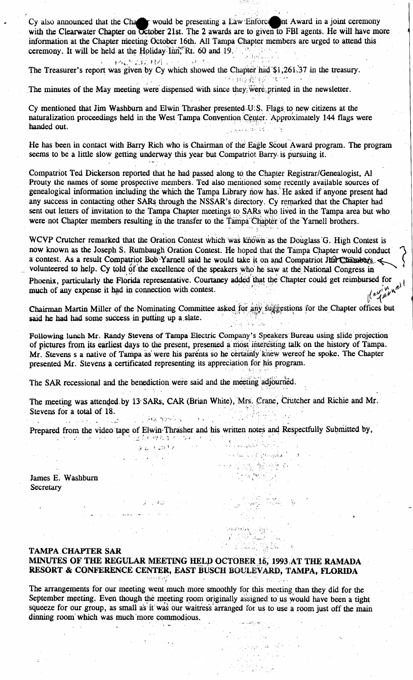Cy also announced that the Channel T would be presenting a Law Enforce Int Award in a joint ceremony with the Clearwater Chapter on October 21st. The 2 awards are to given to FBI agents. He will have more information at the Chapter meeting October 16th. All Tampa Chapter members are urged to attend this ceremony. It will be held at the Holiday Inn, Rt. 60 and 19.

网络阿拉伯糖醛 计可分解 机 The Treasurer's report was given by Cy which showed the Chapter had \$1,261,37 in the treasury. "科技没有得到这个什

The minutes of the May meeting were dispensed with since they were printed in the newsletter.

Cy mentioned that Jim Washburn and Elwin Thrasher presented U.S. Flags to new citizens at the naturalization proceedings held in the West Tampa Convention Center. Approximately 144 flags were handed out.

He has been in contact with Barry Rich who is Chairman of the Eagle Scout Award program. The program seems to be a little slow getting underway this year but Compatriot Barry is pursuing it.

Compatriot Ted Dickerson reported that he had passed along to the Chapter Registrar/Genealogist, Al Prouty the names of some prospective members. Ted also mentioned some recently available sources of genealogical information including the which the Tampa Library now has. He asked if anyone present had any success in contacting other SARs through the NSSAR's directory. Cy remarked that the Chapter had sent out letters of invitation to the Tampa Chapter meetings to SARs who lived in the Tampa area but who were not Chapter members resulting in the transfer to the Tampa Chapter of the Yarnell brothers.

WCVP Crutcher remarked that the Oration Contest which was known as the Douglass G. High Contest is now known as the Joseph S. Rumbaugh Oration Contest. He hoped that the Tampa Chapter would conduct a contest. As a result Compatriot Bob Yarnell said he would take it on and Compatriot Juri Chambars volunteered to help. Cy told of the excellence of the speakers who he saw at the National Congress in Phoenix, particularly the Florida representative. Courtaney added that the Chapter could get reimbursed for in nel much of any expense it had in connection with contest.  $\Lambda^{\rho \prime}$ 

Chairman Martin Miller of the Nominating Committee asked for any suggestions for the Chapter offices but said he had had some success in putting up a slate.

Following lunch Mr. Randy Stevens of Tampa Electric Company's Speakers Bureau using slide projection of pictures from its earliest days to the present, presented a most interesting talk on the history of Tampa. Mr. Stevens s a native of Tampa as were his parents so he certainly knew wereof he spoke. The Chapter presented Mr. Stevens a certificated representing its appreciation for his program.

The SAR recessional and the benediction were said and the meeting adjourned.

Post 10012

 $\chi = -C_0 \Delta^{-1}$ 

 $\frac{1}{2}$  ,  $\frac{1}{2}$  ,  $\frac{1}{2}$ 

The meeting was attended by 13 SARs, CAR (Brian White), Mrs. Crane, Crutcher and Richie and Mr. Stevens for a total of 18.  $\mathcal{F}^{\mathcal{G}}(\mathbf{G},\mathbf{C})$ 

 $\mathcal{A} = \mathcal{A} \cup \mathcal{A}$  , which is a set of  $\mathcal{A}$  , and  $\mathcal{A} = \mathcal{A}$  . Also, the set of  $\mathcal{A}$ Prepared from the video tape of Elwin Thrasher and his written notes and Respectfully Submitted by, 阿拉克松财合理者 化碳二乙 ್ನು ಸಂಪೂರ್ಣವಾಗಿ ಹಾಗೂ ಸಾಲಿ 

and the first of primarily and a

 $\mathbb{R}^{2}$ 

James E. Washburn Secretary

## **TAMPA CHAPTER SAR** MINUTES OF THE REGULAR MEETING HELD OCTOBER 16, 1993 AT THE RAMADA RESORT & CONFERENCE CENTER, EAST BUSCH BOULEVARD, TAMPA, FLORIDA

The arrangements for our meeting went much more smoothly for this meeting than they did for the September meeting. Even though the meeting room originally assigned to us would have been a tight squeeze for our group, as small as it was our waitress arranged for us to use a room just off the main dinning room which was much more commodious.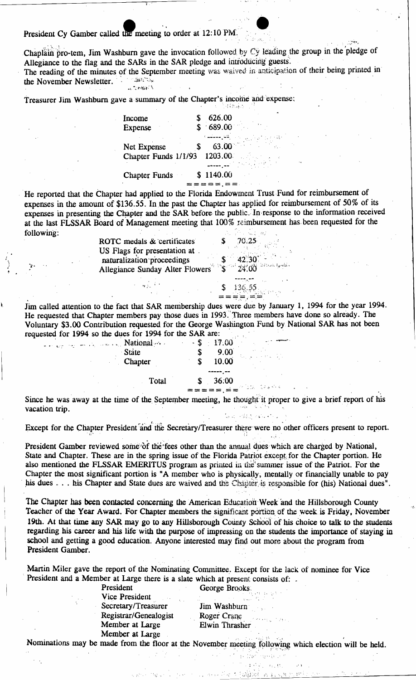#### President Cy Gamber called the meeting to order at 12:10 PM.

Chaplain pro-tem, Jim Washburn gave the invocation followed by Cy leading the group in the pledge of Allegiance to the flag and the SARs in the SAR pledge and introducing guests. The reading of the minutes of the September meeting was waived in anticipation of their being printed in the November Newsletter.  $\mathcal{L}$  in the set  $\mathcal{L}$ 

Treasurer Jim Washburn gave a summary of the Chapter's income and expense:  $1.44$  Burger (  $\sim$ 

| Income               | 626.00    |                            |
|----------------------|-----------|----------------------------|
| Expense              | $-689.00$ |                            |
|                      |           | $\frac{(-1)^{n+1}}{63.00}$ |
| Net Expense          |           |                            |
| Chapter Funds 1/1/93 | 1203.00   |                            |
|                      |           |                            |
| <b>Chapter Funds</b> | \$1140.00 |                            |
|                      |           |                            |

He reported that the Chapter had applied to the Florida Endowment Trust Fund for reimbursement of expenses in the amount of \$136.55. In the past the Chapter has applied for reimbursement of 50% of its expenses in presenting the Chapter and the SAR before the public. In response to the information received at the last FLSSAR Board of Management meeting that 100% reimbursement has been requested for the following:

| ROTC medals & certificates               | $\int$ 5 70.25                                                                                                                                                                                                                                                                                                      |  |
|------------------------------------------|---------------------------------------------------------------------------------------------------------------------------------------------------------------------------------------------------------------------------------------------------------------------------------------------------------------------|--|
| US Flags for presentation at.            |                                                                                                                                                                                                                                                                                                                     |  |
| naturalization proceedings               | $\frac{1}{2}$ $\frac{1}{2}$ $\frac{1}{2}$ $\frac{1}{2}$ $\frac{1}{2}$ $\frac{1}{2}$ $\frac{1}{2}$ $\frac{1}{2}$ $\frac{1}{2}$ $\frac{1}{2}$ $\frac{1}{2}$ $\frac{1}{2}$ $\frac{1}{2}$ $\frac{1}{2}$ $\frac{1}{2}$ $\frac{1}{2}$ $\frac{1}{2}$ $\frac{1}{2}$ $\frac{1}{2}$ $\frac{1}{2}$ $\frac{1}{2}$ $\frac{1}{2}$ |  |
| Allegiance Sunday Alter Flowers \$ 24.00 |                                                                                                                                                                                                                                                                                                                     |  |
|                                          | 17. J.H                                                                                                                                                                                                                                                                                                             |  |
| $\sim 1000$ km s $^{-1}$ M $_{\odot}$    | \$136.55                                                                                                                                                                                                                                                                                                            |  |

Jim called attention to the fact that SAR membership dues were due by January 1, 1994 for the year 1994. He requested that Chapter members pay those dues in 1993. Three members have done so already. The Voluntary \$3.00 Contribution requested for the George Washington Fund by National SAR has not been requested for 1994 so the dues for 1994 for the SAR are:

= = = = = = =

ในแทกเลซี่ยาของเข้าแจ

| .               |       |                    |
|-----------------|-------|--------------------|
| <b>Mational</b> | 17.00 |                    |
| State           | 9.00  | A.                 |
| Chapter         | 10.00 |                    |
|                 |       |                    |
| Total           | 36:00 |                    |
|                 |       | <b>Code Casere</b> |

للسادسة المربي بواعد

Since he was away at the time of the September meeting, he thought it proper to give a brief report of his vacation trip.

Except for the Chapter President and the Secretary/Treasurer there were no other officers present to report.

President Gamber reviewed some of the fees other than the annual dues which are charged by National, State and Chapter. These are in the spring issue of the Florida Patriot except for the Chapter portion. He also mentioned the FLSSAR EMERITUS program as printed in the summer issue of the Patriot. For the Chapter the most significant portion is "A member who is physically, mentally or financially unable to pay his dues . . . his Chapter and State dues are waived and the Chapter is responsible for (his) National dues".

The Chapter has been contacted concerning the American Education Week and the Hillsborough County Teacher of the Year Award. For Chapter members the significant portion of the week is Friday, November 19th. At that time any SAR may go to any Hillsborough County School of his choice to talk to the students regarding his career and his life with the purpose of impressing on the students the importance of staying in school and getting a good education. Anyone interested may find out more about the program from President Gamber.

Martin Miler gave the report of the Nominating Committee. Except for the lack of nominee for Vice President and a Member at Large there is a slate which at present consists of:

| President             | George Brooks  |
|-----------------------|----------------|
| Vice President        |                |
| Secretary/Treasurer   | Jim Washburn   |
| Registrar/Genealogist | Roger Crane    |
| Member at Large       | Elwin Thrasher |
| Member at Large       |                |

Nominations may be made from the floor at the November meeting following which election will be held.